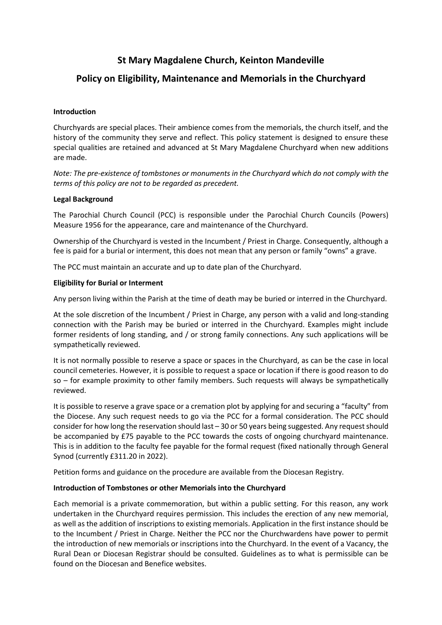# **St Mary Magdalene Church, Keinton Mandeville**

## **Policy on Eligibility, Maintenance and Memorials in the Churchyard**

#### **Introduction**

Churchyards are special places. Their ambience comes from the memorials, the church itself, and the history of the community they serve and reflect. This policy statement is designed to ensure these special qualities are retained and advanced at St Mary Magdalene Churchyard when new additions are made.

*Note: The pre-existence of tombstones or monuments in the Churchyard which do not comply with the terms of this policy are not to be regarded as precedent.*

#### **Legal Background**

The Parochial Church Council (PCC) is responsible under the Parochial Church Councils (Powers) Measure 1956 for the appearance, care and maintenance of the Churchyard.

Ownership of the Churchyard is vested in the Incumbent / Priest in Charge. Consequently, although a fee is paid for a burial or interment, this does not mean that any person or family "owns" a grave.

The PCC must maintain an accurate and up to date plan of the Churchyard.

#### **Eligibility for Burial or Interment**

Any person living within the Parish at the time of death may be buried or interred in the Churchyard.

At the sole discretion of the Incumbent / Priest in Charge, any person with a valid and long-standing connection with the Parish may be buried or interred in the Churchyard. Examples might include former residents of long standing, and / or strong family connections. Any such applications will be sympathetically reviewed.

It is not normally possible to reserve a space or spaces in the Churchyard, as can be the case in local council cemeteries. However, it is possible to request a space or location if there is good reason to do so – for example proximity to other family members. Such requests will always be sympathetically reviewed.

It is possible to reserve a grave space or a cremation plot by applying for and securing a "faculty" from the Diocese. Any such request needs to go via the PCC for a formal consideration. The PCC should consider for how long the reservation should last – 30 or 50 years being suggested. Any request should be accompanied by £75 payable to the PCC towards the costs of ongoing churchyard maintenance. This is in addition to the faculty fee payable for the formal request (fixed nationally through General Synod (currently £311.20 in 2022).

Petition forms and guidance on the procedure are available from the Diocesan Registry.

#### **Introduction of Tombstones or other Memorials into the Churchyard**

Each memorial is a private commemoration, but within a public setting. For this reason, any work undertaken in the Churchyard requires permission. This includes the erection of any new memorial, as well as the addition of inscriptions to existing memorials. Application in the first instance should be to the Incumbent / Priest in Charge. Neither the PCC nor the Churchwardens have power to permit the introduction of new memorials or inscriptions into the Churchyard. In the event of a Vacancy, the Rural Dean or Diocesan Registrar should be consulted. Guidelines as to what is permissible can be found on the Diocesan and Benefice websites.